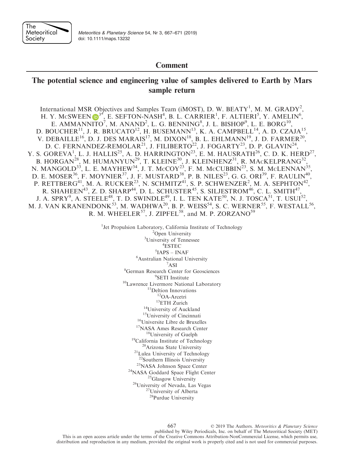

# Comment

# The potential science and engineering value of samples delivered to Earth by Mars sample return

International MSR Objectives and Samples Team (iMOST), D. W. BEATY<sup>1</sup>, M. M. GRADY<sup>2</sup>, H. Y. MCSWEE[N](https://orcid.org/0000-0003-3749-7711)  $\bigodot^{3*}$  $\bigodot^{3*}$  $\bigodot^{3*}$ , E. SEFTON-NASH<sup>4</sup>, B. L. CARRIER<sup>1</sup>, F. ALTIERI<sup>5</sup>, Y. AMELIN<sup>6</sup>, E. AMMANNITO<sup>7</sup>, M. ANAND<sup>2</sup>, L. G. BENNING<sup>8</sup>, J. L. BISHOP<sup>9</sup>, L. E. BORG<sup>10</sup>, D. BOUCHER<sup>11</sup>, J. R. BRUCATO<sup>12</sup>, H. BUSEMANN<sup>13</sup>, K. A. CAMPBELL<sup>14</sup>, A. D. CZAJA<sup>15</sup>, V. DEBAILLE<sup>16</sup>, D. J. DES MARAIS<sup>17</sup>, M. DIXON<sup>18</sup>, B. L. EHLMANN<sup>19</sup>, J. D. FARMER<sup>20</sup>, D. C. FERNANDEZ-REMOLAR $^{21}$ , J. FILIBERTO $^{22}$ , J. FOGARTY $^{23}$ , D. P. GLAVIN $^{24}$ , Y. S. GOREVA<sup>1</sup>, L. J. HALLIS<sup>25</sup>, A. D. HARRINGTON<sup>23</sup>, E. M. HAUSRATH<sup>26</sup>, C. D. K. HERD<sup>27</sup>, B. HORGAN<sup>28</sup>, M. HUMANYUN<sup>29</sup>, T. KLEINE<sup>30</sup>, J. KLEINHENZ<sup>31</sup>, R. MACKELPRANG<sup>32</sup>, N. MANGOLD $^{33}$ , L. E. MAYHEW $^{34}$ , J. T. McCOY $^{23}$ , F. M. McCUBBIN $^{23}$ , S. M. McLENNAN $^{35}$ , D. E. MOSER<sup>36</sup>, F. MOYNIER<sup>37</sup>, J. F. MUSTARD<sup>38</sup>, P. B. NILES<sup>23</sup>, G. G. ORI<sup>39</sup>, F. RAULIN<sup>40</sup>, P. RETTBERG $^{41}$ , M. A. RUCKER $^{23}$ , N. SCHMITZ $^{41}$ , S. P. SCHWENZER $^{2}$ , M. A. SEPHTON $^{42}$ , R. SHAHEEN<sup>43</sup>, Z. D. SHARP<sup>44</sup>, D. L. SCHUSTER<sup>45</sup>, S. SILJESTROM<sup>46</sup>, C. L. SMITH<sup>47</sup>, J. A. SPRY $^9$ , A. STEELE $^{48}$ , T. D. SWINDLE $^{49}$ , I. L. TEN KATE $^{50}$ , N. J. TOSCA $^{51}$ , T. USUI $^{52}$ , M. J. VAN KRANENDONK $^{53}$ , M. WADHWA $^{20}$ , B. P. WEISS $^{54}$ , S. C. WERNER $^{55}$ , F. WESTALL $^{56}$ , R. M. WHEELER<sup>57</sup>, J. ZIPFEL<sup>58</sup>, and M. P. ZORZANO<sup>59</sup>

> <sup>1</sup> Jet Propulsion Laboratory, California Institute of Technology <sup>2</sup>Open University  $\frac{3}{4}$ University of Tennessee<br> $\frac{4}{4}$ ESTEC  ${}^{5}$ IAPS - INAF  $^5$ IAPS – INAF Australian National University  $^{8}$ German Pesearch Cen German Research Center for Geosciences <sup>9</sup>SETI Institute<br>
> <sup>10</sup>Lawrence Livermore National Laboratory<br>
> <sup>11</sup>Deltion Innovations<br>
> <sup>12</sup>OA-Arcetri<br>
> <sup>13</sup>ETH Zurich<br>
> <sup>14</sup>University of Auckland<br>
> <sup>15</sup>University of Cincinnati<br>
> <sup>16</sup>Universite Libre de Bruxelles<br>
> <sup>17</sup>NASA <sup>21</sup>Lulea University of Technology<br><sup>22</sup>Southern Illinois University<br><sup>23</sup>NASA Johnson Space Center<br><sup>24</sup>NASA Goddard Space Flight Center<br><sup>25</sup>Glasgow University<br><sup>26</sup>University of Nevada, Las Vegas<br><sup>27</sup>University of Alberta 28Purdue University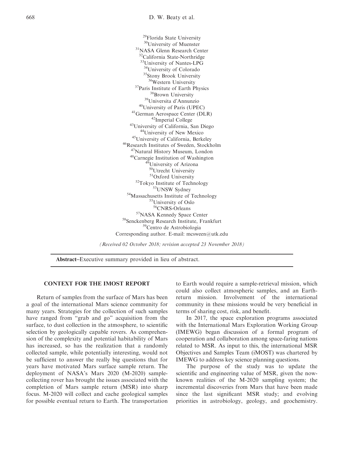$^{29}$ Florida State University<br> $^{30}$ University of Muenster <sup>31</sup>NASA Glenn Research Center 32California State-Northridge  $33$ University of Nantes-LPG<br> $34$ University of Colorado  $35$ Stony Brook University<br> $36$ Western University <sup>36</sup>Western University<br><sup>37</sup>Paris Institute of Earth Physics<br><sup>38</sup>Brown University<br><sup>39</sup>Universita d'Annunzio<br><sup>40</sup>University of Paris (UPEC)<br><sup>41</sup>German Aerospace Center (DLR)<br><sup>42</sup>Imperial College<br><sup>44</sup>University of California <sup>49</sup>University of Arizona<br><sup>50</sup>Utrecht University<br><sup>51</sup>Oxford University  $53$ UNSW Sydney<br> $53$ UNSW Sydney<br> $54$ Massachusetts Institute of Technology  $55$ University of Oslo  $^{56}$ CNRS-Orleans  $^{57}$ NASA Kennedy Space Center  $^{58}$ Senckenberg Research Institute, Frankfurt  $^{59}$ Centro de Astrobiologia Corresponding author. E-mail:  $m$ csween@utk.edu

(Received 02 October 2018; revision accepted 23 November 2018)

Abstract–Executive summary provided in lieu of abstract.

#### CONTEXT FOR THE IMOST REPORT

Return of samples from the surface of Mars has been a goal of the international Mars science community for many years. Strategies for the collection of such samples have ranged from "grab and go" acquisition from the surface, to dust collection in the atmosphere, to scientific selection by geologically capable rovers. As comprehension of the complexity and potential habitability of Mars has increased, so has the realization that a randomly collected sample, while potentially interesting, would not be sufficient to answer the really big questions that for years have motivated Mars surface sample return. The deployment of NASA's Mars 2020 (M-2020) samplecollecting rover has brought the issues associated with the completion of Mars sample return (MSR) into sharp focus. M-2020 will collect and cache geological samples for possible eventual return to Earth. The transportation

to Earth would require a sample-retrieval mission, which could also collect atmospheric samples, and an Earthreturn mission. Involvement of the international community in these missions would be very beneficial in terms of sharing cost, risk, and benefit.

In 2017, the space exploration programs associated with the International Mars Exploration Working Group (IMEWG) began discussion of a formal program of cooperation and collaboration among space-faring nations related to MSR. As input to this, the international MSR Objectives and Samples Team (iMOST) was chartered by IMEWG to address key science planning questions.

The purpose of the study was to update the scientific and engineering value of MSR, given the nowknown realities of the M-2020 sampling system; the incremental discoveries from Mars that have been made since the last significant MSR study; and evolving priorities in astrobiology, geology, and geochemistry.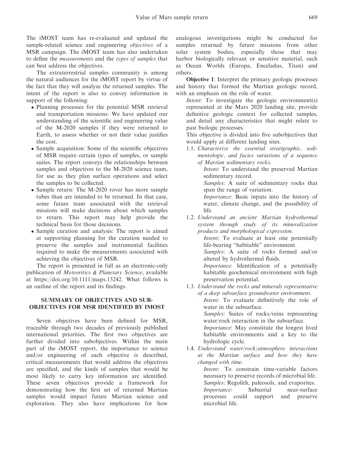The iMOST team has re-evaluated and updated the sample-related science and engineering *objectives* of a MSR campaign. The iMOST team has also undertaken to define the measurements and the types of samples that can best address the objectives.

The extraterrestrial samples community is among the natural audiences for the iMOST report by virtue of the fact that they will analyze the returned samples. The intent of the report is also to convey information in support of the following:

- Planning processes for the potential MSR retrieval and transportation missions: We have updated our understanding of the scientific and engineering value of the M-2020 samples if they were returned to Earth, to assess whether or not their value justifies the cost.
- Sample acquisition: Some of the scientific objectives of MSR require certain types of samples, or sample suites. The report conveys the relationships between samples and objectives to the M-2020 science team, for use as they plan surface operations and select the samples to be collected.
- Sample return: The M-2020 rover has more sample tubes than are intended to be returned. In that case, some future team associated with the retrieval missions will make decisions about which samples to return. This report may help provide the technical basis for those decisions.
- Sample curation and analysis: The report is aimed at supporting planning for the curation needed to preserve the samples and instrumental facilities required to make the measurements associated with achieving the objectives of MSR.

The report is presented in full as an electronic-only publication of Meteoritics & Planetary Science, available at<https://doi.org/10.1111/maps.13242>. What follows is an outline of the report and its findings.

## SUMMARY OF OBJECTIVES AND SUB-OBJECTIVES FOR MSR IDENTIFIED BY IMOST

Seven objectives have been defined for MSR, traceable through two decades of previously published international priorities. The first two objectives are further divided into subobjectives. Within the main part of the iMOST report, the importance to science and/or engineering of each objective is described, critical measurements that would address the objectives are specified, and the kinds of samples that would be most likely to carry key information are identified. These seven objectives provide a framework for demonstrating how the first set of returned Martian samples would impact future Martian science and exploration. They also have implications for how

analogous investigations might be conducted for samples returned by future missions from other solar system bodies, especially those that may harbor biologically relevant or sensitive material, such as Ocean Worlds (Europa, Enceladus, Titan) and others.

**Objective 1:** Interpret the primary geologic processes and history that formed the Martian geologic record, with an emphasis on the role of water.

Intent: To investigate the geologic environment(s) represented at the Mars 2020 landing site, provide definitive geologic context for collected samples, and detail any characteristics that might relate to past biologic processes.

This objective is divided into five subobjectives that would apply at different landing sites.

1.1. Characterize the essential stratigraphic, sedimentologic, and facies variations of a sequence of Martian sedimentary rocks.

> Intent: To understand the preserved Martian sedimentary record.

> Samples: A suite of sedimentary rocks that span the range of variation.

> Importance: Basic inputs into the history of water, climate change, and the possibility of life.

1.2. Understand an ancient Martian hydrothermal system through study of its mineralization products and morphological expression.

> Intent: To evaluate at least one potentially life-bearing "habitable" environment.

> Samples: A suite of rocks formed and/or altered by hydrothermal fluids.

> Importance: Identification of a potentially habitable geochemical environment with high preservation potential.

1.3. Understand the rocks and minerals representative of a deep subsurface groundwater environment.

> Intent: To evaluate definitively the role of water in the subsurface.

Samples: Suites of rocks/veins representing water/rock interaction in the subsurface.

Importance: May constitute the longest lived habitable environments and a key to the hydrologic cycle.

1.4. Understand water/rock/atmosphere interactions at the Martian surface and how they have changed with time.

> Intent: To constrain time-variable factors necessary to preserve records of microbial life. Samples: Regolith, paleosols, and evaporites.

> Importance: Subaerial near-surface processes could support and preserve microbial life.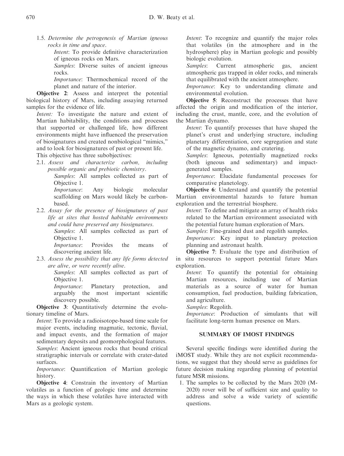1.5. Determine the petrogenesis of Martian igneous rocks in time and space.

> Intent: To provide definitive characterization of igneous rocks on Mars.

> Samples: Diverse suites of ancient igneous rocks.

> Importance: Thermochemical record of the planet and nature of the interior.

Objective 2: Assess and interpret the potential biological history of Mars, including assaying returned samples for the evidence of life.

Intent: To investigate the nature and extent of Martian habitability, the conditions and processes that supported or challenged life, how different environments might have influenced the preservation of biosignatures and created nonbiological "mimics," and to look for biosignatures of past or present life.

This objective has three subobjectives:

2.1. Assess and characterize carbon, including possible organic and prebiotic chemistry.

Samples: All samples collected as part of Objective 1.

Importance: Any biologic molecular scaffolding on Mars would likely be carbonbased.

2.2. Assay for the presence of biosignatures of past life at sites that hosted habitable environments and could have preserved any biosignatures.

> Samples: All samples collected as part of Objective 1.

Importance: Provides the means of discovering ancient life.

2.3. Assess the possibility that any life forms detected are alive, or were recently alive.

> Samples: All samples collected as part of Objective 1.

> Importance: Planetary protection, and arguably the most important scientific discovery possible.

Objective 3: Quantitatively determine the evolutionary timeline of Mars.

Intent: To provide a radioisotope-based time scale for major events, including magmatic, tectonic, fluvial, and impact events, and the formation of major sedimentary deposits and geomorphological features. Samples: Ancient igneous rocks that bound critical stratigraphic intervals or correlate with crater-dated surfaces.

Importance: Quantification of Martian geologic history.

Objective 4: Constrain the inventory of Martian volatiles as a function of geologic time and determine the ways in which these volatiles have interacted with Mars as a geologic system.

Intent: To recognize and quantify the major roles that volatiles (in the atmosphere and in the hydrosphere) play in Martian geologic and possibly biologic evolution.

Samples: Current atmospheric gas, ancient atmospheric gas trapped in older rocks, and minerals that equilibrated with the ancient atmosphere.

Importance: Key to understanding climate and environmental evolution.

**Objective 5:** Reconstruct the processes that have affected the origin and modification of the interior, including the crust, mantle, core, and the evolution of the Martian dynamo.

Intent: To quantify processes that have shaped the planet's crust and underlying structure, including planetary differentiation, core segregation and state of the magnetic dynamo, and cratering.

Samples: Igneous, potentially magnetized rocks (both igneous and sedimentary) and impactgenerated samples.

Importance: Elucidate fundamental processes for comparative planetology.

Objective 6: Understand and quantify the potential Martian environmental hazards to future human exploration and the terrestrial biosphere.

Intent: To define and mitigate an array of health risks related to the Martian environment associated with the potential future human exploration of Mars.

Samples: Fine-grained dust and regolith samples.

Importance: Key input to planetary protection planning and astronaut health.

Objective 7: Evaluate the type and distribution of in situ resources to support potential future Mars exploration.

Intent: To quantify the potential for obtaining Martian resources, including use of Martian materials as a source of water for human consumption, fuel production, building fabrication, and agriculture.

Samples: Regolith.

Importance: Production of simulants that will facilitate long-term human presence on Mars.

## SUMMARY OF IMOST FINDINGS

Several specific findings were identified during the iMOST study. While they are not explicit recommendations, we suggest that they should serve as guidelines for future decision making regarding planning of potential future MSR missions.

1. The samples to be collected by the Mars 2020 (M-2020) rover will be of sufficient size and quality to address and solve a wide variety of scientific questions.